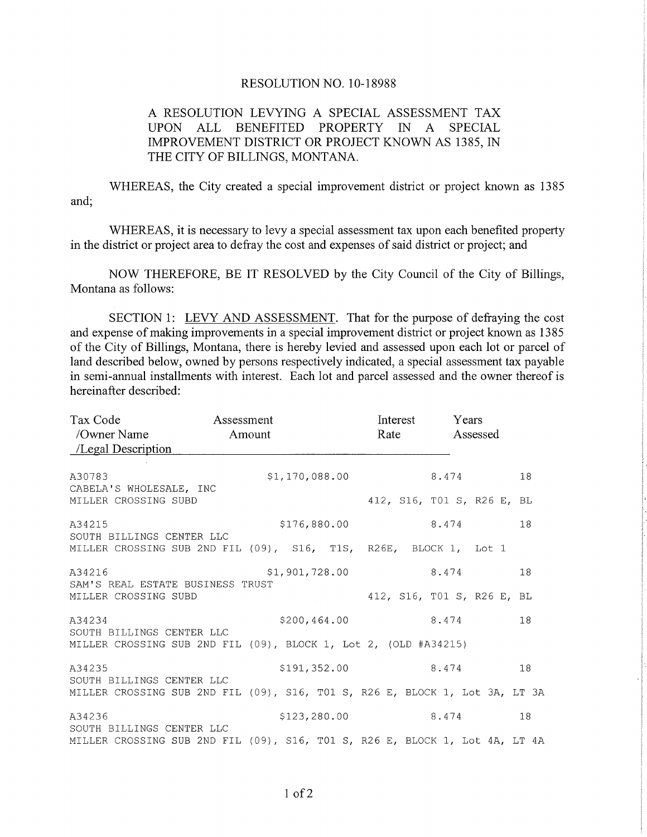## RESOLUTION NO. 10-18988

## A RESOLUTION LEVYING A SPECIAL ASSESSMENT TAX UPON ALL BENEFITED PROPERTY IN A SPECIAL IMPROVEMENT DISTRICT OR PROJECT KNOWN AS 1385, IN THE CITY OF BILLINGS. MONTANA.

WHEREAS, the City created a special improvement district or project known as 1385 and;

WHEREAS, it is necessary to levy a special assessment tax upon each benefited property in the district or project area to defray the cost and expenses of said district or project; and

NOW THEREFORE, BE IT RESOLVED by the City Council of the City of Billings, Montana as follows:

SECTION 1: LEVY AND ASSESSMENT. That for the purpose of defraying the cost and expense of making improvements in a special improvement district or project known as 1385 of the City of Billings, Montana, there is hereby levied and assessed upon each lot or parcel of land described below, owned by persons respectively indicated, a special assessment tax payable in semi-annual installments with interest. Each lot and parcel assessed and the owner thereof is hereinafter described:

| Tax Code<br>Assessment<br>/Owner Name Amount<br>/Legal Description                                                 |  |  |                         |  |  | Interest<br>Rate |  |  | Years<br>Assessed                   |  |  |  |    |  |
|--------------------------------------------------------------------------------------------------------------------|--|--|-------------------------|--|--|------------------|--|--|-------------------------------------|--|--|--|----|--|
| A30783<br>CABELA'S WHOLESALE, INC<br>MILLER CROSSING SUBD                                                          |  |  | $$1, 170, 088.00$ 8.474 |  |  |                  |  |  | 412, S16, TO1 S, R26 E, BL          |  |  |  | 18 |  |
| A34215<br>SOUTH BILLINGS CENTER LLC<br>MILLER CROSSING SUB 2ND FIL (09), S16, T1S, R26E, BLOCK 1, Lot 1            |  |  | \$176,880.00            |  |  |                  |  |  | 8.474 18                            |  |  |  |    |  |
| A34216<br>SAM'S REAL ESTATE BUSINESS TRUST<br>MILLER CROSSING SUBD                                                 |  |  | \$1,901,728.00          |  |  |                  |  |  | 8.474<br>412, S16, TO1 S, R26 E, BL |  |  |  | 18 |  |
| A34234<br>SOUTH BILLINGS CENTER LLC<br>MILLER CROSSING SUB 2ND FIL (09), BLOCK 1, Lot 2, (OLD #A34215)             |  |  | \$200,464.00 8.474      |  |  |                  |  |  |                                     |  |  |  | 18 |  |
| A34235<br>SOUTH BILLINGS CENTER LLC<br>MILLER CROSSING SUB 2ND FIL (09), S16, T01 S, R26 E, BLOCK 1, Lot 3A, LT 3A |  |  | \$191,352.00 8.474      |  |  |                  |  |  |                                     |  |  |  | 18 |  |
| A34236<br>SOUTH BILLINGS CENTER LLC<br>MILLER CROSSING SUB 2ND FIL (09), S16, T01 S, R26 E, BLOCK 1, Lot 4A, LT 4A |  |  | $$123, 280.00$ 8.474    |  |  |                  |  |  |                                     |  |  |  | 18 |  |